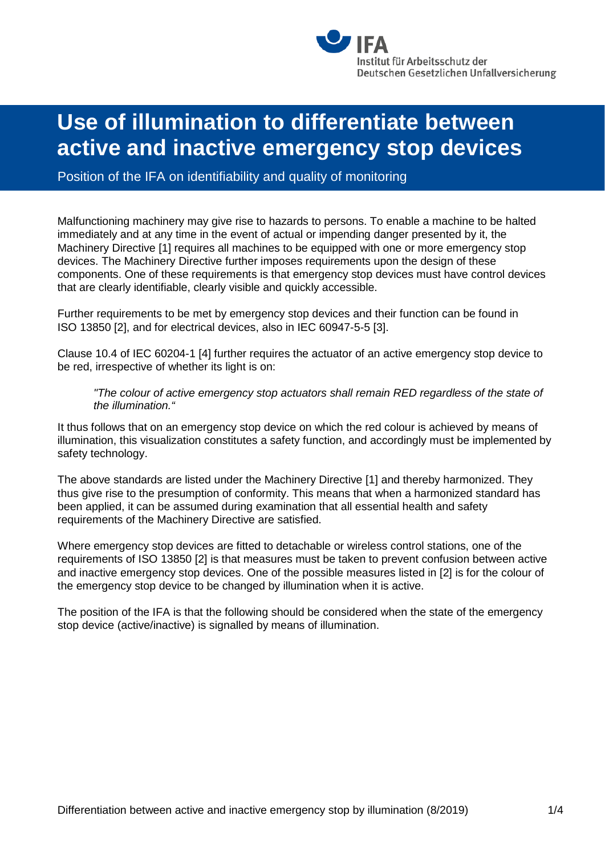

# **Use of illumination to differentiate between active and inactive emergency stop devices**

Position of the IFA on identifiability and quality of monitoring

Malfunctioning machinery may give rise to hazards to persons. To enable a machine to be halted immediately and at any time in the event of actual or impending danger presented by it, the Machinery Directive [1] requires all machines to be equipped with one or more emergency stop devices. The Machinery Directive further imposes requirements upon the design of these components. One of these requirements is that emergency stop devices must have control devices that are clearly identifiable, clearly visible and quickly accessible.

Further requirements to be met by emergency stop devices and their function can be found in ISO 13850 [2], and for electrical devices, also in IEC 60947-5-5 [3].

Clause 10.4 of IEC 60204-1 [4] further requires the actuator of an active emergency stop device to be red, irrespective of whether its light is on:

#### *"The colour of active emergency stop actuators shall remain RED regardless of the state of the illumination."*

It thus follows that on an emergency stop device on which the red colour is achieved by means of illumination, this visualization constitutes a safety function, and accordingly must be implemented by safety technology.

The above standards are listed under the Machinery Directive [1] and thereby harmonized. They thus give rise to the presumption of conformity. This means that when a harmonized standard has been applied, it can be assumed during examination that all essential health and safety requirements of the Machinery Directive are satisfied.

Where emergency stop devices are fitted to detachable or wireless control stations, one of the requirements of ISO 13850 [2] is that measures must be taken to prevent confusion between active and inactive emergency stop devices. One of the possible measures listed in [2] is for the colour of the emergency stop device to be changed by illumination when it is active.

The position of the IFA is that the following should be considered when the state of the emergency stop device (active/inactive) is signalled by means of illumination.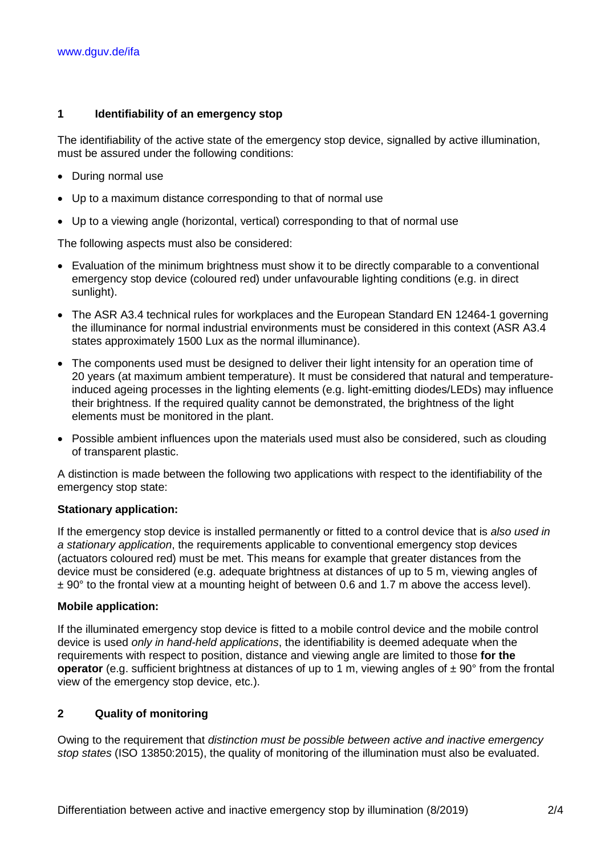## **1 Identifiability of an emergency stop**

The identifiability of the active state of the emergency stop device, signalled by active illumination, must be assured under the following conditions:

- During normal use
- Up to a maximum distance corresponding to that of normal use
- Up to a viewing angle (horizontal, vertical) corresponding to that of normal use

The following aspects must also be considered:

- Evaluation of the minimum brightness must show it to be directly comparable to a conventional emergency stop device (coloured red) under unfavourable lighting conditions (e.g. in direct sunlight).
- The ASR A3.4 technical rules for workplaces and the European Standard EN 12464-1 governing the illuminance for normal industrial environments must be considered in this context (ASR A3.4 states approximately 1500 Lux as the normal illuminance).
- The components used must be designed to deliver their light intensity for an operation time of 20 years (at maximum ambient temperature). It must be considered that natural and temperatureinduced ageing processes in the lighting elements (e.g. light-emitting diodes/LEDs) may influence their brightness. If the required quality cannot be demonstrated, the brightness of the light elements must be monitored in the plant.
- Possible ambient influences upon the materials used must also be considered, such as clouding of transparent plastic.

A distinction is made between the following two applications with respect to the identifiability of the emergency stop state:

## **Stationary application:**

If the emergency stop device is installed permanently or fitted to a control device that is *also used in a stationary application*, the requirements applicable to conventional emergency stop devices (actuators coloured red) must be met. This means for example that greater distances from the device must be considered (e.g. adequate brightness at distances of up to 5 m, viewing angles of  $\pm$  90 $\degree$  to the frontal view at a mounting height of between 0.6 and 1.7 m above the access level).

## **Mobile application:**

If the illuminated emergency stop device is fitted to a mobile control device and the mobile control device is used *only in hand-held applications*, the identifiability is deemed adequate when the requirements with respect to position, distance and viewing angle are limited to those **for the operator** (e.g. sufficient brightness at distances of up to 1 m, viewing angles of  $\pm$  90° from the frontal view of the emergency stop device, etc.).

## **2 Quality of monitoring**

Owing to the requirement that *distinction must be possible between active and inactive emergency stop states* (ISO 13850:2015), the quality of monitoring of the illumination must also be evaluated.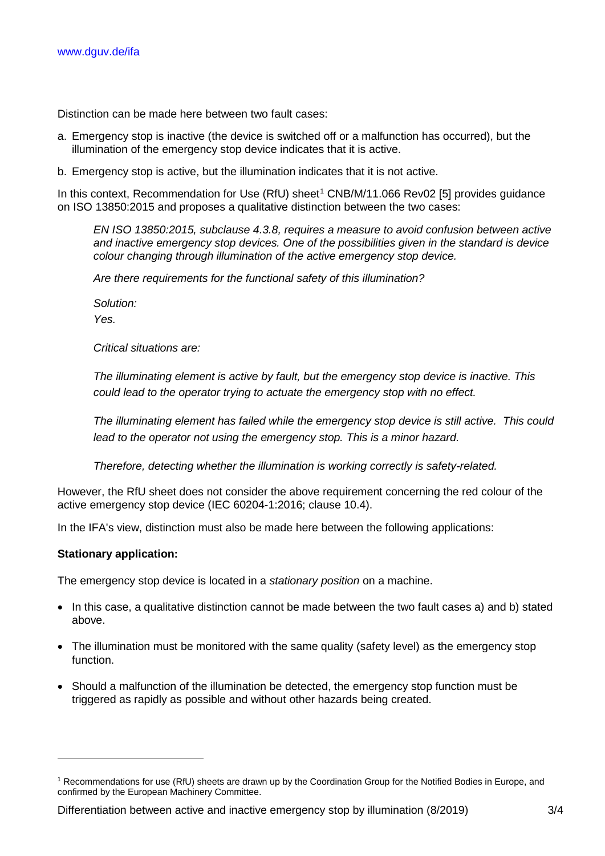Distinction can be made here between two fault cases:

- a. Emergency stop is inactive (the device is switched off or a malfunction has occurred), but the illumination of the emergency stop device indicates that it is active.
- b. Emergency stop is active, but the illumination indicates that it is not active.

In this context, Recommendation for Use (RfU) sheet<sup>[1](#page-2-0)</sup> CNB/M/11.066 Rev02 [5] provides guidance on ISO 13850:2015 and proposes a qualitative distinction between the two cases:

*EN ISO 13850:2015, subclause 4.3.8, requires a measure to avoid confusion between active and inactive emergency stop devices. One of the possibilities given in the standard is device colour changing through illumination of the active emergency stop device.*

*Are there requirements for the functional safety of this illumination?* 

*Solution: Yes.*

*Critical situations are:*

*The illuminating element is active by fault, but the emergency stop device is inactive. This could lead to the operator trying to actuate the emergency stop with no effect.*

*The illuminating element has failed while the emergency stop device is still active. This could lead to the operator not using the emergency stop. This is a minor hazard.*

*Therefore, detecting whether the illumination is working correctly is safety-related.*

However, the RfU sheet does not consider the above requirement concerning the red colour of the active emergency stop device (IEC 60204-1:2016; clause 10.4).

In the IFA's view, distinction must also be made here between the following applications:

## **Stationary application:**

-

The emergency stop device is located in a *stationary position* on a machine.

- In this case, a qualitative distinction cannot be made between the two fault cases a) and b) stated above.
- The illumination must be monitored with the same quality (safety level) as the emergency stop function.
- Should a malfunction of the illumination be detected, the emergency stop function must be triggered as rapidly as possible and without other hazards being created.

Differentiation between active and inactive emergency stop by illumination (8/2019) 3/4

<span id="page-2-0"></span><sup>1</sup> Recommendations for use (RfU) sheets are drawn up by the Coordination Group for the Notified Bodies in Europe, and confirmed by the European Machinery Committee.